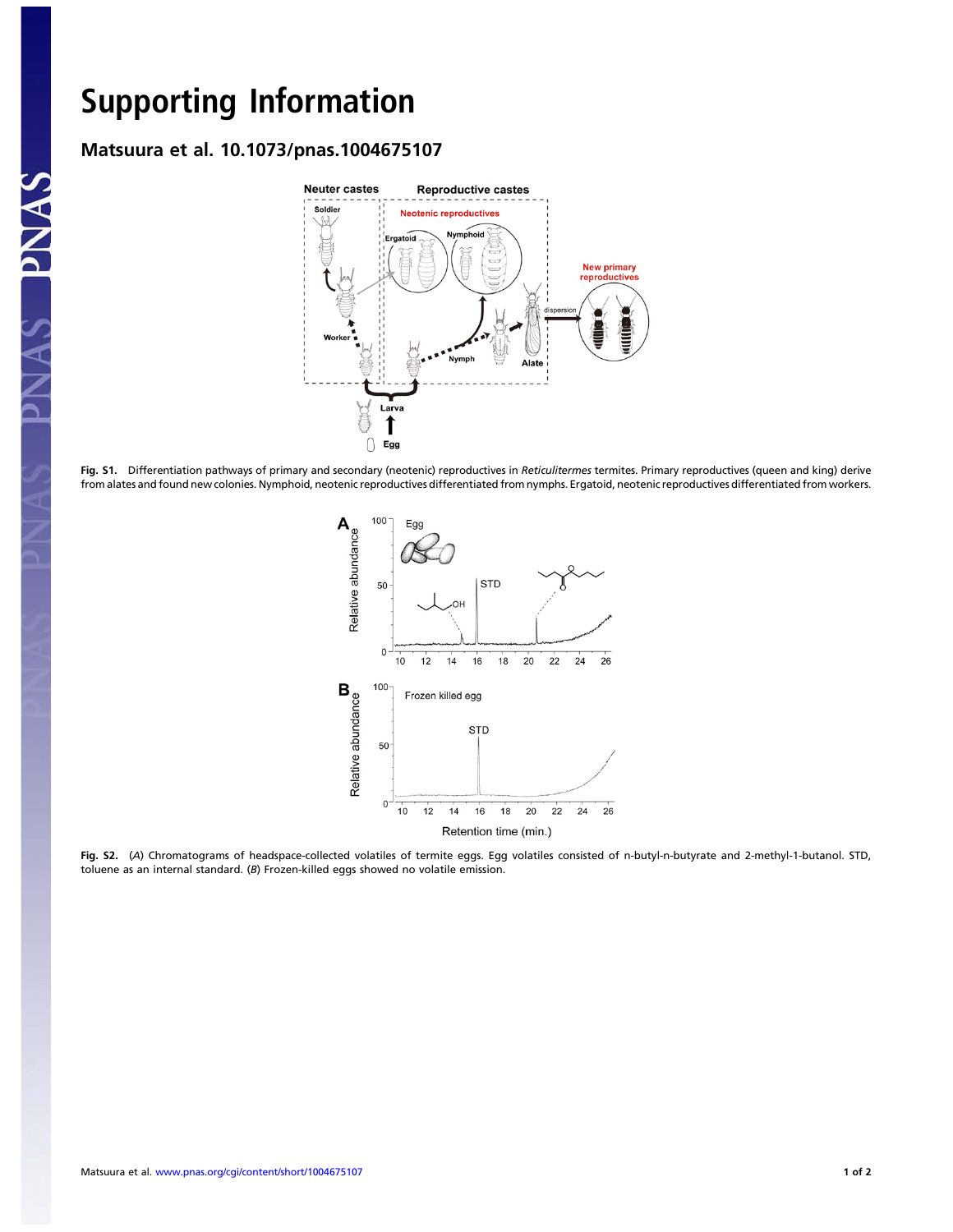PNAS

## Support the Contract of the Contract of the Contract of the Contract of the Contract of the Contract of the Contract of the Contract of the Contract of the Contract of the Contract of the Contract of the Contract of the Co Matsuura et al. 10.1073/pnas.1004675107



Fig. S1. Differentiation pathways of primary and secondary (neotenic) reproductives in Reticulitermes termites. Primary reproductives (queen and king) derive from alates and found new colonies. Nymphoid, neotenic reproductives differentiated from nymphs. Ergatoid, neotenic reproductives differentiated from workers.



Fig. S2. (A) Chromatograms of headspace-collected volatiles of termite eggs. Egg volatiles consisted of n-butyl-n-butyrate and 2-methyl-1-butanol. STD, toluene as an internal standard. (B) Frozen-killed eggs showed no volatile emission.